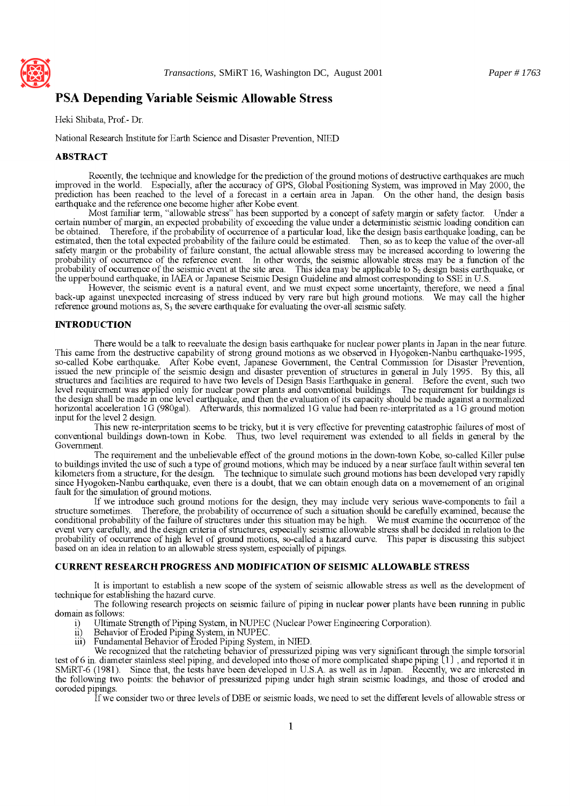

## **PSA Depending Variable Seismic Allowable Stress**

Heki Shibata, Prof.- Dr.

National Research Institute for Earth Science and Disaster Prevention, NIED

#### **ABSTRACT**

Recently, the technique and knowledge for the prediction of the ground motions of destructive earthquakes are much improved in the world. Especially, after the accuracy of GPS, Global Positioning System, was improved in May 2000, the prediction has been reached to the level of a forecast in a certain area in Japan. On the other hand, the design basis earthquake and the reference one become higher after Kobe event.

Most familiar term, "allowable stress" has been supported by a concept of safety margin or safety factor. Under a certain number of margin, an expected probability of exceeding the value under a deterministic seismic loading condition can be obtained. Therefore, if the probability of occurrence of a particular load, like the design basis earthquake loading, can be estimated, then the total expected probability of the failure could be estimated. Then, so as to keep the value of the over-all safety margin or the probability of failure constant, the actual allowable stress may be increased according to lowering the probability of occurrence of the reference event. In other words, the seismic allowable stress may be a function of the probability of occurrence of the seismic event at the site area. This idea may be applicable to  $S_2$  design basis earthquake, or the upperbound earthquake, in IAEA or Japanese Seismic Design Guideline and almost corresponding to SSE in U.S.

However, the seismic event is a natural event, and we must expect some uncertainty, therefore, we need a final back-up against unexpected increasing of stress induced by very rare but high ground motions. We may call the higher reference ground motions as,  $S_3$  the severe earthquake for evaluating the over-all seismic safety.

#### **INTRODUCTION**

There would be a talk to reevaluate the design basis earthquake for nuclear power plants in Japan in the near future. This came from the destructive capability of strong ground motions as we observed in Hyogoken-Nanbu earthquake-1995, so-called Kobe earthquake. After Kobe event, Japanese Government, the Central Commission for Disaster Prevention, issued the new principle of the seismic design and disaster prevention of structures in general in July 1995. By this, all structures and facilities are required to have two levels of Design Basis Earthquake in general. Before the event, such two level requirement was applied only for nuclear power plants and conventional buildings. The requirement for buildings is the design shall be made in one level earthquake, and then the evaluation of its capacity should be made against a normalized horizontal acceleration 1G (980gal). Afterwards, this normalized 1G value had been re-interpritated as a 1G ground motion input for the level 2 design.

This new re-interpritation seems to be tricky, but it is very effective for preventing catastrophic failures of most of conventional buildings down-town in Kobe. Thus, two level requirement was extended to all fields in general by the Government.

The requirement and the unbelievable effect of the ground motions in the down-town Kobe, so-called Killer pulse to buildings invited the use of such a type of ground motions, which may be induced by a near surface fault within several ten kilometers from a structure, for the design. The technique to simulate such ground motions has been developed very rapidly since Hyogoken-Nanbu earthquake, even there is a doubt, that we can obtain enough data on a movemement of an original fault for the simulation of ground motions.

If we introduce such ground motions for the design, they may include very serious wave-components to fail a structure sometimes. Therefore, the probability of occurrence of such a situation should be carefully examined, be Therefore, the probability of occurrence of such a situation should be carefully examined, because the conditional probability of the failure of structures under this situation may be high. We must examine the occurrence of the event very carefully, and the design criteria of structures, especially seismic allowable stress shall be decided in relation to the probability of occurrence of high level of ground motions, so-called a hazard curve. This paper is discussing this subject based on an idea in relation to an allowable stress system, especially of pipings.

#### **CURRENT RESEARCH PROGRESS AND MODIFICATION OF SEISMIC ALLOWABLE STRESS**

It is important to establish a new scope of the system of seismic allowable stress as well as the development of technique for establishing the hazard curve.

The following research projects on seismic failure of piping in nuclear power plants have been running in public domain as follows:

- i) Ultimate Strength of Piping System, in NUPEC (Nuclear Power Engineering Corporation).
- ii) Behavior of Eroded Piping System, in NUPEC.
- iii) Fundamental Behavior of Eroded Piping System, in NIED.

We recognized that the ratcheting behavior of pressurized piping was very significant through the simple torsorial test of 6 in. diameter stainless steel piping, and developed into those of more complicated shape piping  $[1]$ , and reported it in SMiRT-6 (1981). Since that, the tests have been developed in U.S.A. as well as in Japan. Recently, we are interested in the following two points: the behavior of pressurized piping under high strain seismic loadings, and those of eroded and coroded pipings.

If we consider two or three levels of DBE or seismic loads, we need to set the different levels of allowable stress or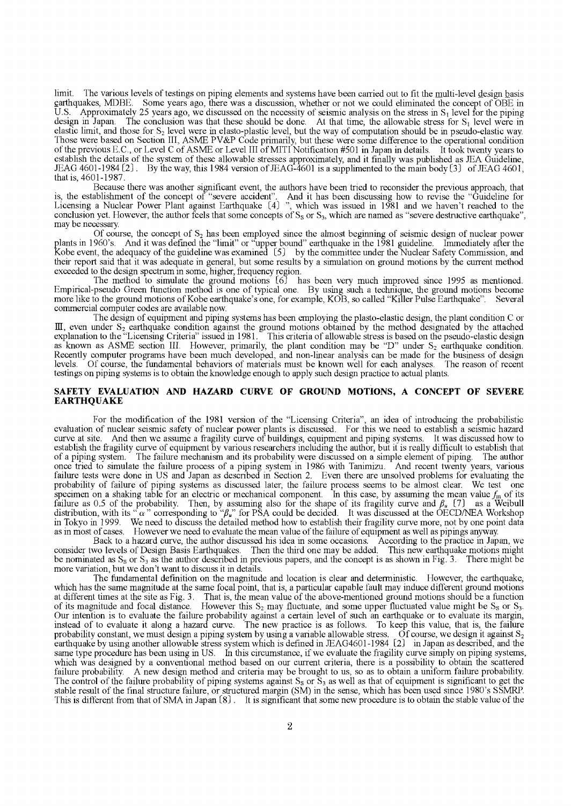limit. The various levels of testings on piping elements and systems have been carried out to fit the multi-level design basis earthquakes, MDBE. Some years ago, there was a discussion, whether or not we could eliminated the concept of OBE in U.S. Approximately 25 years ago, we discussed on the necessity of seismic analysis on the stress in  $S_1$ U.S. Approximately 25 years ago, we discussed on the necessity of seismic analysis on the stress in  $S_1$  level for the piping design in Japan. The conclusion was that these should be done. At that time, the allowable str The conclusion was that these should be done. At that time, the allowable stress for  $S_1$  level were in elastic limit, and those for \$2 level were in elasto-plastic level, but the way of computation should be in pseudo-elastic way. Those were based on Section III, ASME PV&P Code primarily, but these were some difference to the operational condition of the previous E.C., or Level C of ASME or Level III of MITI Notification #501 in Japan in details. It took twenty years to establish the details of the system of these allowable stresses approximately, and it finally was published as JEA Guideline, JEAG 4601-1984  $(2)$ . By the way, this 1984 version of JEAG-4601 is a supplimented to the main body  $(3)$  of JEAG 4601, that is, 4601-1987.

Because there was another significant event, the authors have been tried to reconsider the previous approach, that is, the establishment of the concept of "severe accident". And it has been discussing how to revise the "Guideline for Licensing a Nuclear Power Plant against Earthquake [4] ", which was issued in 1981 and we haven't reached to the conclusion yet. However, the author feels that some concepts of  $S_8$  or  $S_3$ , which are named as "severe destructive earthquake", may be necessary.

Of course, the concept of  $S_2$  has been employed since the almost beginning of seismic design of nuclear power plants in 1960's. And it was defined the "limit" or "upper bound" earthquake in the 1981 guideline. Immediately after the Kobe event, the adequacy of the guideline was examined  $(5)$  by the committee under the Nuclear Safety Commission, and their report said that it was adequate in general, but some results by a simulation on ground motions by the current method exceeded to the design spectrum in some, higher, frequency region.

The method to simulate the ground motions {6J has been very much improved since 1995 as mentioned. Empirical-pseudo Green function method is one of typical one. By using such a technique, the ground motions become more like to the ground motions of Kobe earthquake's one, for example, KOB, so called "Killer Pulse Earthquake". Several commercial computer codes are available now.

The design of equipment and piping systems has been employing the plasto-elastic design, the plant condition C or III, even under  $S_2$  earthquake condition against the ground motions obtained by the method designated by the attached explanation to the "Licensing Criteria" issued in 1981. This criteria of allowable stress is based on the pseudo-elastic design as known as ASME section III. However, primarily, the plant condition may be "D" under \$2 earthquake condition. Recently computer programs have been much developed, and non-linear analysis can be made for the business of design levels. Of course, the fundamental behaviors of materials must be known well for each analyses. The reason of recent testings on piping systems is to obtain the knowledge enough to apply such design practice to actual plants.

#### **SAFETY EVALUATION AND HAZARD CURVE OF GROUND MOTIONs, A CONCEPT OF SEVERE EARTHQUAKE**

For the modification of the 1981 version of the "Licensing Criteria", an idea of introducing the probabilistic evaluation of nuclear seismic safety of nuclear power plants is discussed. For this we need to establish a seismic hazard curve at site. And then we assume a fragility curve of buildings, equipment and piping systems. It was discussed how to establish the fragility curve of equipment by various researchers including the author, but it is really difficult to establish that of a piping system. The failure mechanism and its probability were discussed on a simple element of piping. The author once tried to simulate the failure process of a piping system in 1986 with Tanimizu. And recent twenty years, various failure tests were done in US and Japan as described in Section 2. Even there are unsolved problems for evaluating the probability of failure of piping systems as discussed later, the failure process seems to be almost clear. We test one specimen on a shaking table for an electric or mechanical component. In this case, by assuming the mean value  $f_m$  of its failure as 0.5 of the probability. Then, by assuming also for the shape of its fragility curve and  $\beta_u$  [7] as a Weibull distribution, with its " $\alpha$ " corresponding to " $\beta_{\mu}$ " for PSA could be decided. It was discussed at the OECD/NEA Workshop in Tokyo in 1999. We need to discuss the detailed method how to establish their fragility curve more, not by one point data as in most of cases. However we need to evaluate the mean value of the failure of equipment as well as pipings anyway.

Back to a hazard curve, the author discussed his idea in some occasions. According to the practice in Japan, we consider two levels of Design Basis Earthquakes. Then the third one may be added. This new earthquake motions might be nominated as  $S_8$  or  $S_3$  as the author described in previous papers, and the concept is as shown in Fig. 3. There might be more variation, but we don't want to discuss it in details.

The fundamental definition on the magnitude and location is clear and deterministic. However, the earthquake, which has the same magnitude at the same focal point, that is, a particular capable fault may induce different ground motions at different times at the site as Fig. 3. That is, the mean value of the above-mentioned ground motions should be a function of its magnitude and focal distance. However this  $S_2$  may fluctuate, and some upper fluctuated value might be  $S_8$  or  $S_3$ . Our intention is to evaluate the failure probability against a certain level of such an earthquake or to evaluate its margin, instead of to evaluate it along a hazard curve. The new practice is as follows. To keep this value, that is, the failure probability constant, we must design a piping system by using a variable allowable stress. Of course, we design it against  $S_2$ earthquake by using another allowable stress system which is defined in JEAG4601-1984  $(2)$  in Japan as described, and the same type procedure has been using in US. In this circumstance, if we evaluate the fragility curve simply on piping systems, which was designed by a conventional method based on our current criteria, there is a possibility to obtain the scattered failure probability. A new design method and criteria may be brought to us, so as to obtain a uniform failure probability. The control of the failure probability of piping systems against  $S_8$  or  $\overline{S}_3$  as well as that of equipment is significant to get the stable result of the final structure failure, or structured margin (SM) in the sense, which has been used since 1980's SSMRP. This is different from that of SMA in Japan [8]. It is significant that some new procedure is to obtain the stable value of the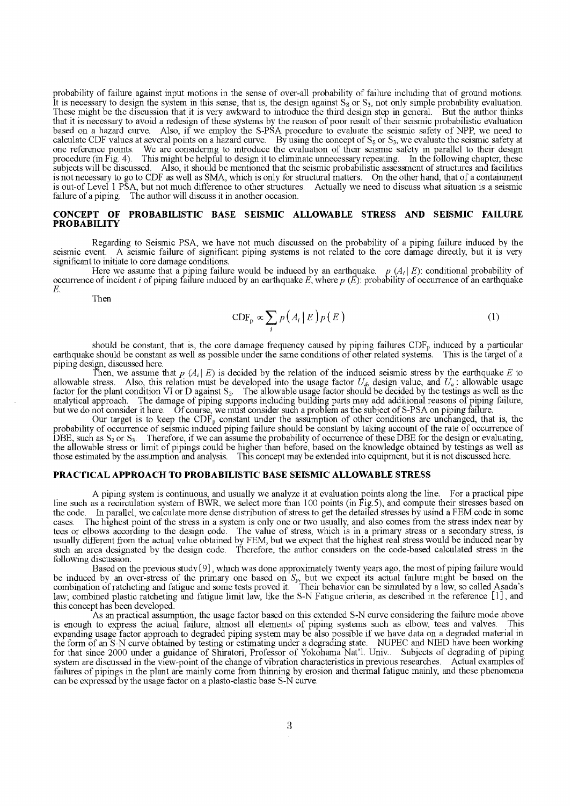probability of failure against input motions in the sense of over-all probability of failure including that of ground motions. It is necessary to design the system in this sense, that is, the design against  $S_8$  or  $S_3$ , not only simple probability evaluation. These might be the discussion that it is very awkward to introduce the third design step in general. But the author thinks that it is necessary to avoid a redesign of these systems by the reason of poor result of their seismic probabilistic evaluation based on a hazard curve. Also, if we employ the S-PSA procedure to evaluate the seismic safety of NPP, we need to calculate CDF values at several points on a hazard curve. By using the concept of  $S_8$  or  $S_3$ , we evaluate the seismic safety at one reference points. We are considering to introduce the evaluation of their seismic safety in parallel to their design procedure (in Fig. 4). This might be helpful to design it to eliminate unnecessary repeating. In the following chapter, these subjects will be discussed. Also, it should be mentioned that the seismic probabilistic assessment of structures and facilities is not necessary to go to CDF as well as SMA, which is only for structural matters. On the other hand, that of a containment is out-of Level 1 PSA, but not much difference to other structures. Actually we need to discuss what situation is a seismic failure of a piping. The author will discuss it in another occasion.

#### **CONCEPT OF PROBABILISTIC BASE SEISMIC ALLOWABLE STRESS AND SEISMIC FAILURE PROBABILITY**

Regarding to Seismic PSA, we have not much discussed on the probability of a piping failure induced by the seismic event. A seismic failure of significant piping systems is not related to the core damage directly, but it is very significant to initiate to core damage conditions.

Here we assume that a piping failure would be induced by an earthquake.  $p(A_i|E)$ : conditional probability of occurrence of incident i of piping failure induced by an earthquake  $E$ , where  $p(E)$ : probability of occurrence of an earthquake E.

Then

$$
\text{CDF}_p \propto \sum_i p(A_i \mid E) p(E) \tag{1}
$$

should be constant, that is, the core damage frequency caused by piping failures  $CDF<sub>p</sub>$  induced by a particular earthquake should be constant as well as possible under the same conditions of other related systems. This is the target of a piping design, discussed here.

Then, we assume that  $p(A_i | E)$  is decided by the relation of the induced seismic stress by the earthquake E to allowable stress. Also, this relation must be developed into the usage factor  $U_a$ , design value, and  $U_a$ : allowable usage factor for the plant condition VI or D against  $S_2$ . The allowable usage factor should be decided by the testings as well as the - analytical approach. The damage of piping supports including building parts may add additional reasons of piping failure, but we do not consider it here. Of course, we must consider such a problem as the subject of S-PSA on piping failure.

Our target is to keep the  $CDF<sub>p</sub>$  constant under the assumption of other conditions are unchanged, that is, the probability of occurrence of seismic induced piping failure should be constant by taking account of the rate of occurrence of DBE, such as  $S_2$  or  $S_3$ . Therefore, if we can assume the probability of occurrence of these DBE for the design or evaluating, the allowable stress or limit of pipings could be higher than before, based on the knowledge obtained by testings as well as those estimated by the assumption and analysis. This concept may be extended into equipment, but it is not discussed here.

#### **PRACTICAL APPROACH TO PROBABILISTIC BASE SEISMIC ALLOWABLE STRESS**

A piping system is continuous, and usually we analyze it at evaluation points along the line. For a practical pipe line such as a recirculation system of BWR, we select more than 100 points (in Fig.5), and compute their stresses based on the code. In parallel, we calculate more dense distribution of stress to get the detailed stresses by usind a FEM code in some cases. The highest point of the stress in a system is only one or two usually, and also comes f The highest point of the stress in a system is only one or two usually, and also comes from the stress index near by tees or elbows according to the design code. The value of stress, which is in a primary stress or a secondary stress, is usually different from the actual value obtained by FEM, but we expect that the highest real stress would be induced near by such an area designated by the design code. Therefore, the author considers on the code-based calculated stress in the following discussion.

Based on the previous study  $(9)$ , which was done approximately twenty years ago, the most of piping failure would be induced by an over-stress of the primary one based on  $S<sub>r</sub>$ , but we expect its actual failure might be based on the combination of ratcheting and fatigue and some tests proved it. Their behavior can be simulated by a law, so called Asada's law; combined plastic ratcheting and fatigue limit law, like the S-N Fatigue criteria, as described in the reference [1], and this concept has been developed.

As an practical assumption, the usage factor based on this extended S-N curve considering the failure mode above is enough to express the actual failure, almost all elements of piping systems such as elbow, tees and valves. This expanding usage factor approach to degraded piping system may be also possible if we have data on a degraded material in the form of an S-N curve obtained by testing or estimating under a degrading state. NUPEC and NIED have been working for that since 2000 under a guidance of Shiratori, Professor of Yokohama Nat'l. Univ.. Subjects of degrading of piping system are discussed in the view-point of the change of vibration characteristics in previous researches. Actual examples of failures of pipings in the plant are mainly come from thinning by erosion and thermal fatigue mainly, and these phenomena can be expressed by the usage factor on a plasto-elastic base S-N curve.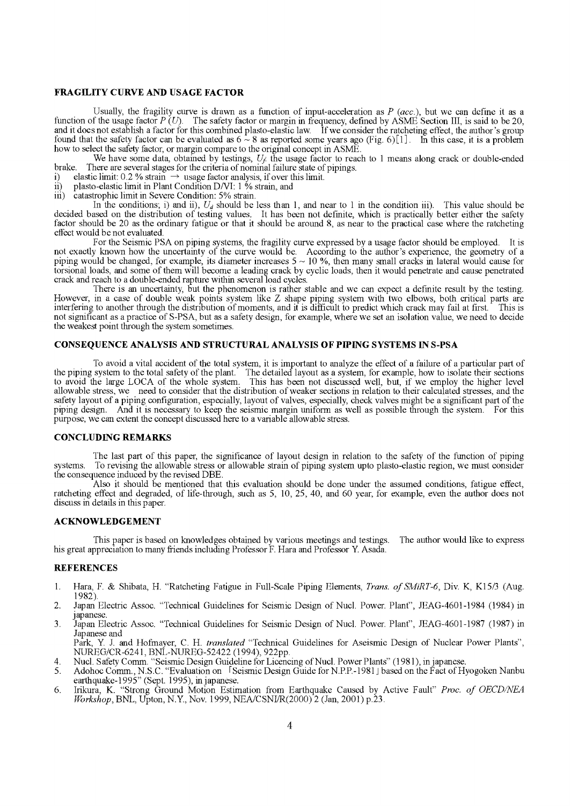#### **FRAGILITY CURVE AND USAGE FACTOR**

Usually, the fragility curve is drawn as a function of input-acceleration as *P (acc.),* but we can define it as a function of the usage factor  $P(U)$ . The safety factor or margin in frequency, defined by ASME Section III, is said to be 20, and it does not establish a factor for this combined plasto-elastic law. If we consider the ratcheting effect, the author's group found that the safety factor can be evaluated as  $6 \sim 8$  as reported some years ago (Fig. 6)[1]. In this case, it is a problem how to select the safety factor, or margin compare to the original concept in ASME.

We have some data, obtained by testings,  $U_f$  the usage factor to reach to 1 means along crack or double-ended brake. There are several stages for the criteria of nominal failure state of pipings.

- i) elastic limit: 0.2 % strain  $\rightarrow$  usage factor analysis, if over this limit.
- ii) plasto-elastic limit in Plant Condition D/VI:  $1\%$  strain, and iii) catastrophic limit in Severe Condition: 5% strain.

catastrophic limit in Severe Condition: 5% strain.

In the conditions; i) and ii),  $U_d$  should be less than 1, and near to 1 in the condition iii). This value should be decided based on the distribution of testing values. It has been not definite, which is practically better either the safety factor should be 20 as the ordinary fatigue or that it should be around 8, as near to the practical case where the ratcheting effect would be not evaluated.

For the Seismic PSA on piping systems, the fragility curve expressed by a usage factor should be employed. It is not exactly known how the uncertainty of the curve would be. According to the author's experience, the geometry of a piping would be changed, for example, its diameter increases  $5 \sim 10$  %, then many small cracks in lateral would cause for torsional loads, and some of them will become a leading crack by cyclic loads, then it would penetrate and cause penetrated crack and reach to a double-ended rapture within several load cycles.

There is an uncertainty, but the phenomenon is rather stable and we can expect a definite result by the testing. However, in a case of double weak points system like Z shape piping system with two elbows, both critical parts are interfering to another through the distribution of moments, and it is difficult to predict which crack may fail at first. This is not significant as a practice of S-PSA, but as a safety design, for example, where we set an isolation value, we need to decide the weakest point through the system sometimes.

#### **CONSEQUENCE ANALYSIS AND STRUCTURAL ANALYSIS OF PIPING SYSTEMS IN S-PSA**

To avoid a vital accident of the total system, it is important to analyze the effect of a failure of a particular part of the piping system to the total safety of the plant. The detailed layout as a system, for example, how to isolate their sections to avoid the large LOCA of the whole system. This has been not discussed well, but, if we employ the higher level allowable stress, we need to consider that the distribution of weaker sections in relation to their calculated stresses, and the safety layout of a piping configuration, especially, layout of valves, especially, check valves might be a significant part of the piping design. And it is necessary to keep the seismic margin uniform as well as possible through the system. For this purpose, we can extent the concept discussed here to a variable allowable stress.

#### **CONCLUDING REMARKS**

The last part of this paper, the significance of layout design in relation to the safety of the function of piping systems. To revising the allowable stress or allowable strain of piping system upto plasto-elastic region, we must consider the consequence induced by the revised DBE.

Also it should be mentioned that this evaluation should be done under the assumed conditions, fatigue effect, ratcheting effect and degraded, of life-through, such as 5, 10, 25, 40, and 60 year, for example, even the author does not discuss in details in this paper.

#### **ACKNOWLEDGEMENT**

This paper is based on knowledges obtained by various meetings and testings. his great appreciation to many friends including Professor F. Hara and Professor Y. Asada. The author would like to express

#### **REFERENCES**

- 1. Hara, F. & Shibata, H. "Ratcheting Fatigue in Full-Scale Piping Elements, *Trans. of SMiRT-6,* Div. K, K15/3 (Aug. 1982).
- 2. Japan Electric Assoc. "Technical Guidelines for Seismic Design of Nucl. Power. Plant", JEAG-4601-1984 (1984) in japanese.
- 3. Japan Electric Assoc. "Technical Guidelines for Seismic Design of Nucl. Power. Plant", JEAG-4601-1987 (1987) in Japanese and

Park, Y. J. and Hofmayer, C. H. *translated* "Technical Guidelines for Aseismic Design of Nuclear Power Plants", NUREG/CR-6241, BNL-NUREG-52422 (1994), 922pp.

- 4. Nucl. Safety Comm. "Seismic Design Guideline for Licencing of Nucl. Power Plants" (1981), in japanese.
- 5. Adohoc Comm., N.S.C. "Evaluation on FSeismic Design Guide for N.P.P.-1981 J based on the Fact of Hyogoken Nanbu earthquake- 1995" (Sept. 1995), in japanese.
- 6. Irikura, K. "Strong Ground Motion Estimation from Earthquake Caused by Active Fault" *Proc. of OECD/NEA Workshop*, BNL, Upton, N.Y., Nov. 1999, NEA/CSNI/R(2000)<sup>2</sup> (Jan, 2001) p.23.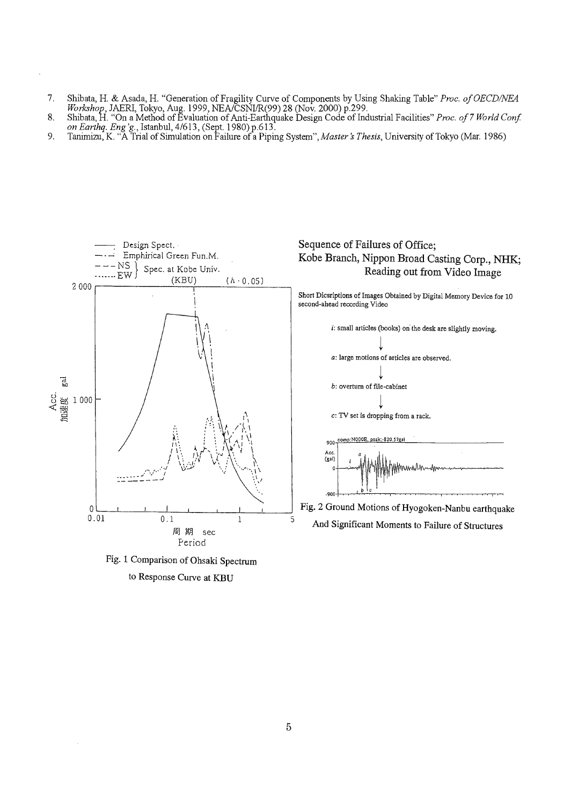- 7. Shibata, H. & Asada, H. "Generation of Fragility Curve of Components by Using Shaking Table" *Proc. of OECD/NEA Workshop,* JAERI, Tokyo, Aug. 1999, NEAJCSNI/R(99) 28 (Nov. 2000) p.299.
- 8. Shibata, H. "On a Method of Evaluation of Anti-Earthquake Design Code of Industrial Facilities" *Proc. of 7 World Conf. on Earthq. Eng 'g.,* Istanbul, 4/613, (Sept. 1980) p.613.
- 9. Tanimizu, K. "A Trial of Simulation on Failure of a Piping System", *Master's Thesis,* University of Tokyo (Mar. 1986)







### **Sequence of Failures of Office; Kobe Branch, Nippon Broad Casting Corp., NHK; Reading out from Video Image**

Short Dicsriptions of Images Obtained by Digital Memory Device for 10 second-ahead recording Video



Fig. 2 Ground Motions of Hyogoken-Nanbu earthquake And Significant Moments to Failure of Structures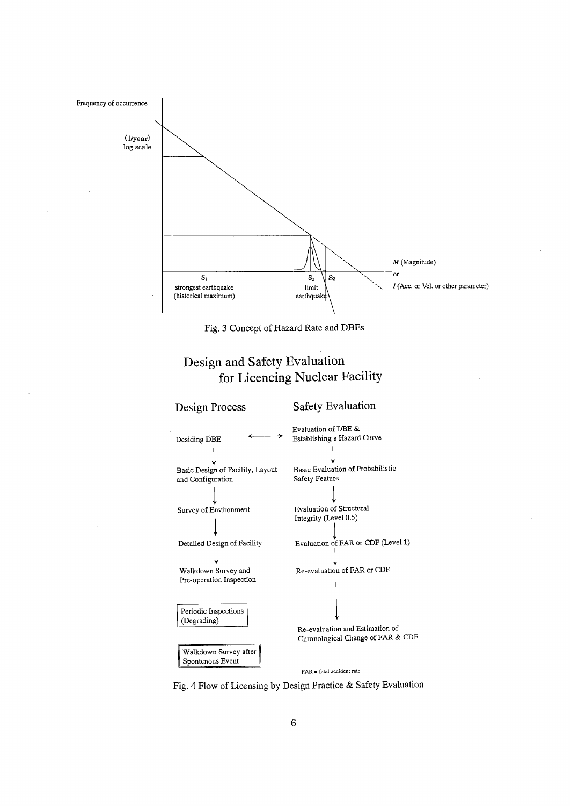

Fig. 3 Concept of Hazard Rate and DBEs

# **Design and Safety Evaluation for Licencing Nuclear Facility**



Fig. 4 Flow of Licensing by Design Practice & Safety Evaluation